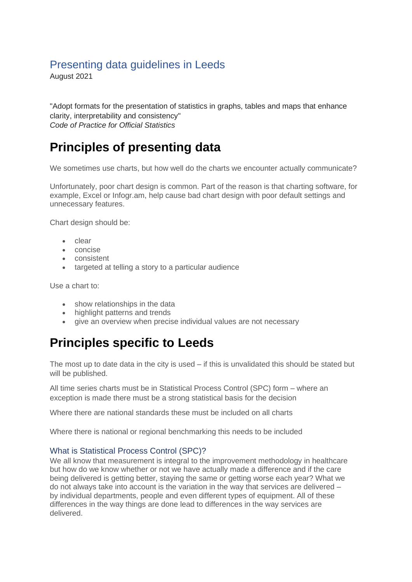## Presenting data guidelines in Leeds

August 2021

"Adopt formats for the presentation of statistics in graphs, tables and maps that enhance clarity, interpretability and consistency" *Code of Practice for Official Statistics*

# **Principles of presenting data**

We sometimes use charts, but how well do the charts we encounter actually communicate?

Unfortunately, poor chart design is common. Part of the reason is that charting software, for example, Excel or Infogr.am, help cause bad chart design with poor default settings and unnecessary features.

Chart design should be:

- clear
- concise
- consistent
- targeted at telling a story to a particular audience

Use a chart to:

- show relationships in the data
- highlight patterns and trends
- give an overview when precise individual values are not necessary

# **Principles specific to Leeds**

The most up to date data in the city is used – if this is unvalidated this should be stated but will be published.

All time series charts must be in Statistical Process Control (SPC) form – where an exception is made there must be a strong statistical basis for the decision

Where there are national standards these must be included on all charts

Where there is national or regional benchmarking this needs to be included

## What is Statistical Process Control (SPC)?

We all know that measurement is integral to the improvement methodology in healthcare but how do we know whether or not we have actually made a difference and if the care being delivered is getting better, staying the same or getting worse each year? What we do not always take into account is the variation in the way that services are delivered – by individual departments, people and even different types of equipment. All of these differences in the way things are done lead to differences in the way services are delivered.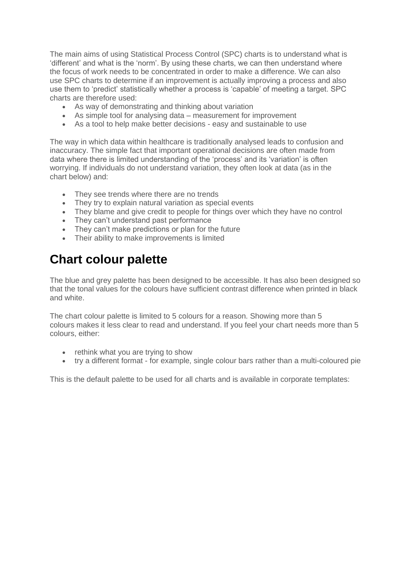The main aims of using Statistical Process Control (SPC) charts is to understand what is 'different' and what is the 'norm'. By using these charts, we can then understand where the focus of work needs to be concentrated in order to make a difference. We can also use SPC charts to determine if an improvement is actually improving a process and also use them to 'predict' statistically whether a process is 'capable' of meeting a target. SPC charts are therefore used:

- As way of demonstrating and thinking about variation
- As simple tool for analysing data measurement for improvement
- As a tool to help make better decisions easy and sustainable to use

The way in which data within healthcare is traditionally analysed leads to confusion and inaccuracy. The simple fact that important operational decisions are often made from data where there is limited understanding of the 'process' and its 'variation' is often worrying. If individuals do not understand variation, they often look at data (as in the chart below) and:

- They see trends where there are no trends
- They try to explain natural variation as special events
- They blame and give credit to people for things over which they have no control
- They can't understand past performance
- They can't make predictions or plan for the future
- Their ability to make improvements is limited

# **Chart colour palette**

The blue and grey palette has been designed to be accessible. It has also been designed so that the tonal values for the colours have sufficient contrast difference when printed in black and white.

The chart colour palette is limited to 5 colours for a reason. Showing more than 5 colours makes it less clear to read and understand. If you feel your chart needs more than 5 colours, either:

- rethink what you are trying to show
- try a different format for example, single colour bars rather than a multi-coloured pie

This is the default palette to be used for all charts and is available in corporate templates: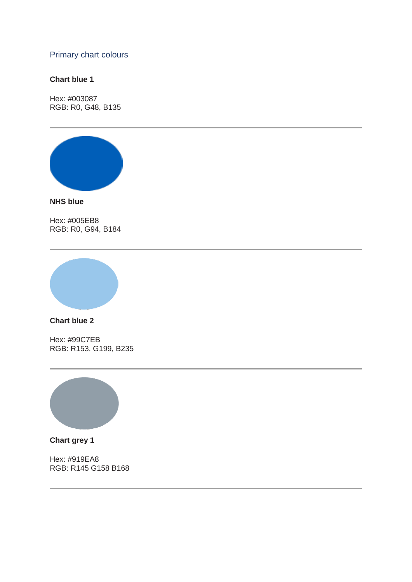## Primary chart colours

## **Chart blue 1**

Hex: #003087 RGB: R0, G48, B135



**NHS blue**

Hex: #005EB8 RGB: R0, G94, B184



**Chart blue 2**

Hex: #99C7EB RGB: R153, G199, B235



**Chart grey 1**

Hex: #919EA8 RGB: R145 G158 B168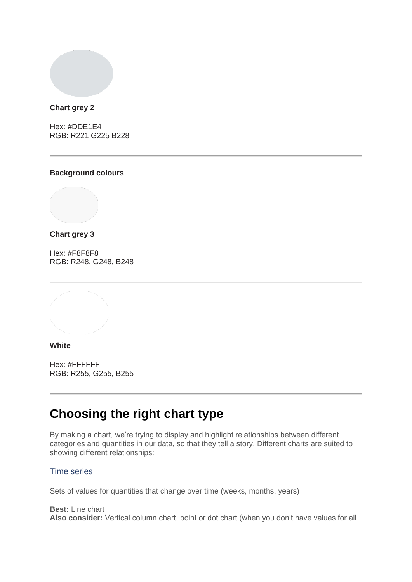### **Chart grey 2**

Hex: #DDE1E4 RGB: R221 G225 B228

### **Background colours**

**Chart grey 3**

Hex: #F8F8F8 RGB: R248, G248, B248

## **White**

Hex: #FFFFFF RGB: R255, G255, B255

# **Choosing the right chart type**

By making a chart, we're trying to display and highlight relationships between different categories and quantities in our data, so that they tell a story. Different charts are suited to showing different relationships:

## Time series

Sets of values for quantities that change over time (weeks, months, years)

**Best:** Line chart **Also consider:** Vertical column chart, point or dot chart (when you don't have values for all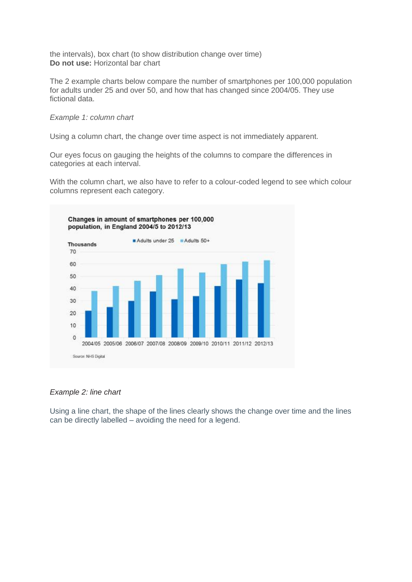the intervals), box chart (to show distribution change over time) **Do not use:** Horizontal bar chart

The 2 example charts below compare the number of smartphones per 100,000 population for adults under 25 and over 50, and how that has changed since 2004/05. They use fictional data.

#### *Example 1: column chart*

Using a column chart, the change over time aspect is not immediately apparent.

Our eyes focus on gauging the heights of the columns to compare the differences in categories at each interval.

With the column chart, we also have to refer to a colour-coded legend to see which colour columns represent each category.



#### *Example 2: line chart*

Using a line chart, the shape of the lines clearly shows the change over time and the lines can be directly labelled – avoiding the need for a legend.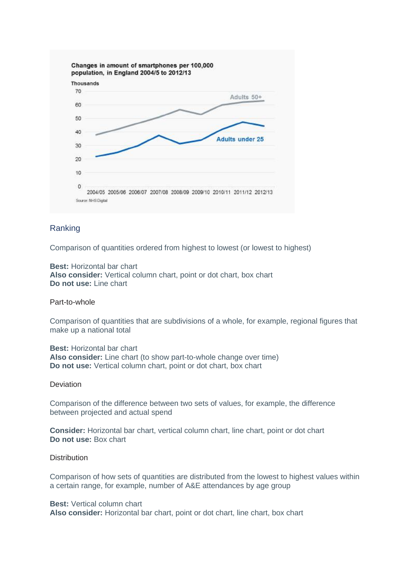

## Ranking

Comparison of quantities ordered from highest to lowest (or lowest to highest)

#### **Best:** Horizontal bar chart **Also consider:** Vertical column chart, point or dot chart, box chart **Do not use:** Line chart

#### Part-to-whole

Comparison of quantities that are subdivisions of a whole, for example, regional figures that make up a national total

**Best:** Horizontal bar chart **Also consider:** Line chart (to show part-to-whole change over time) **Do not use:** Vertical column chart, point or dot chart, box chart

#### **Deviation**

Comparison of the difference between two sets of values, for example, the difference between projected and actual spend

**Consider:** Horizontal bar chart, vertical column chart, line chart, point or dot chart **Do not use:** Box chart

#### **Distribution**

Comparison of how sets of quantities are distributed from the lowest to highest values within a certain range, for example, number of A&E attendances by age group

#### **Best:** Vertical column chart

**Also consider:** Horizontal bar chart, point or dot chart, line chart, box chart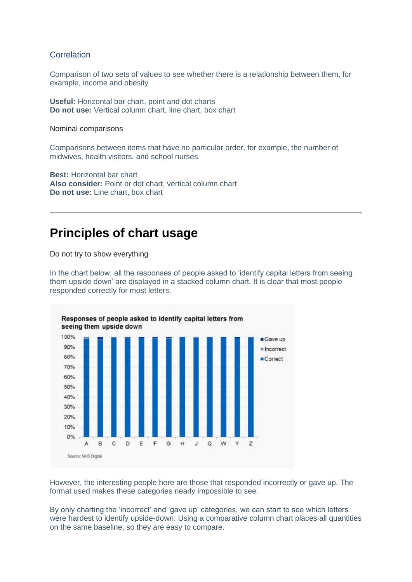## **Correlation**

Comparison of two sets of values to see whether there is a relationship between them, for example, income and obesity

**Useful:** Horizontal bar chart, point and dot charts **Do not use:** Vertical column chart, line chart, box chart

Nominal comparisons

Comparisons between items that have no particular order, for example, the number of midwives, health visitors, and school nurses

**Best:** Horizontal bar chart **Also consider:** Point or dot chart, vertical column chart **Do not use:** Line chart, box chart

## **Principles of chart usage**

Do not try to show everything

In the chart below, all the responses of people asked to 'identify capital letters from seeing them upside down' are displayed in a stacked column chart. It is clear that most people responded correctly for most letters.



However, the interesting people here are those that responded incorrectly or gave up. The format used makes these categories nearly impossible to see.

By only charting the 'incorrect' and 'gave up' categories, we can start to see which letters were hardest to identify upside-down. Using a comparative column chart places all quantities on the same baseline, so they are easy to compare.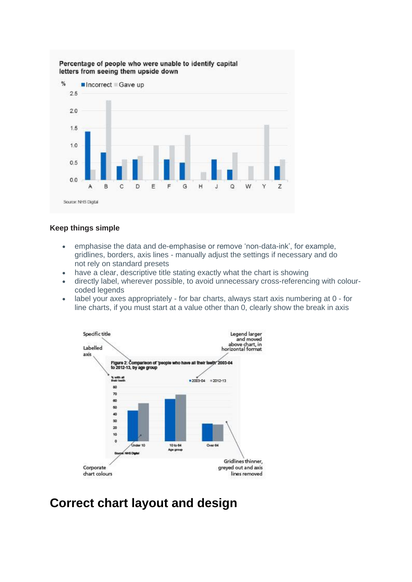

### **Keep things simple**

- emphasise the data and de-emphasise or remove 'non-data-ink', for example, gridlines, borders, axis lines - manually adjust the settings if necessary and do not rely on standard presets
- have a clear, descriptive title stating exactly what the chart is showing
- directly label, wherever possible, to avoid unnecessary cross-referencing with colourcoded legends
- label your axes appropriately for bar charts, always start axis numbering at 0 for line charts, if you must start at a value other than 0, clearly show the break in axis



# **Correct chart layout and design**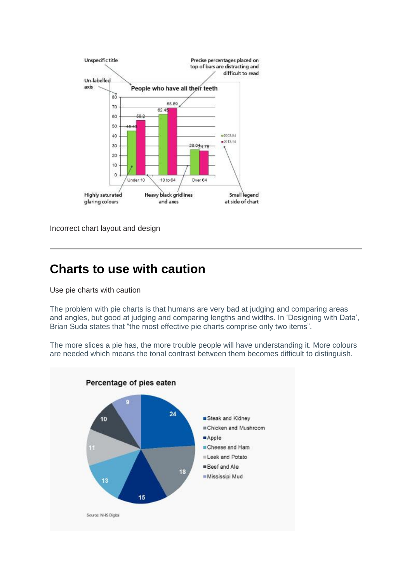

Incorrect chart layout and design

## **Charts to use with caution**

Use pie charts with caution

The problem with pie charts is that humans are very bad at judging and comparing areas and angles, but good at judging and comparing lengths and widths. In 'Designing with Data', Brian Suda states that "the most effective pie charts comprise only two items".

The more slices a pie has, the more trouble people will have understanding it. More colours are needed which means the tonal contrast between them becomes difficult to distinguish.

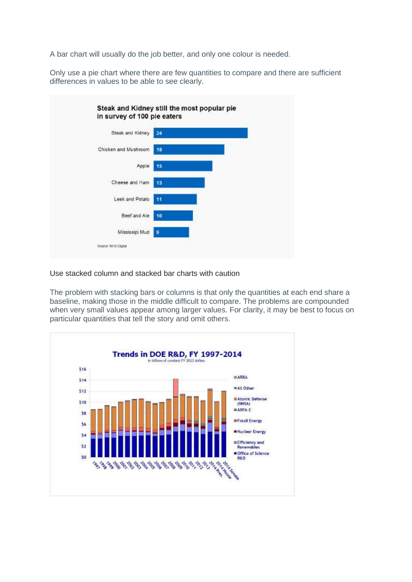A bar chart will usually do the job better, and only one colour is needed.

Only use a pie chart where there are few quantities to compare and there are sufficient differences in values to be able to see clearly.



Use stacked column and stacked bar charts with caution

The problem with stacking bars or columns is that only the quantities at each end share a baseline, making those in the middle difficult to compare. The problems are compounded when very small values appear among larger values. For clarity, it may be best to focus on particular quantities that tell the story and omit others.

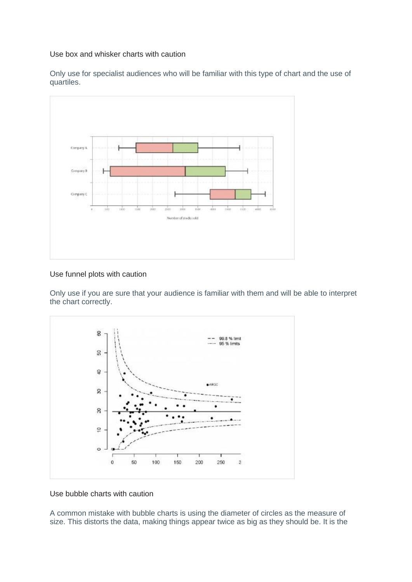Use box and whisker charts with caution

Only use for specialist audiences who will be familiar with this type of chart and the use of quartiles.



## Use funnel plots with caution

Only use if you are sure that your audience is familiar with them and will be able to interpret the chart correctly.



## Use bubble charts with caution

A common mistake with bubble charts is using the diameter of circles as the measure of size. This distorts the data, making things appear twice as big as they should be. It is the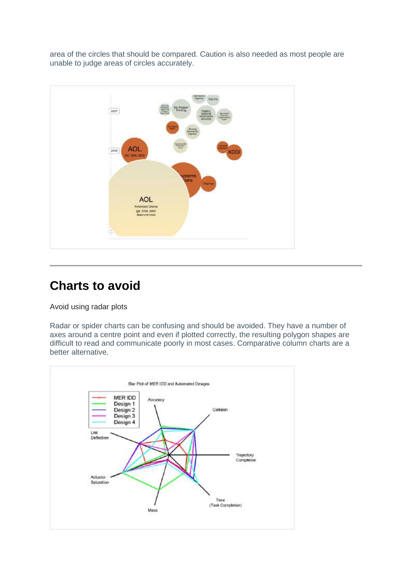area of the circles that should be compared. Caution is also needed as most people are unable to judge areas of circles accurately.



# **Charts to avoid**

Avoid using radar plots

Radar or spider charts can be confusing and should be avoided. They have a number of axes around a centre point and even if plotted correctly, the resulting polygon shapes are difficult to read and communicate poorly in most cases. Comparative column charts are a better alternative.

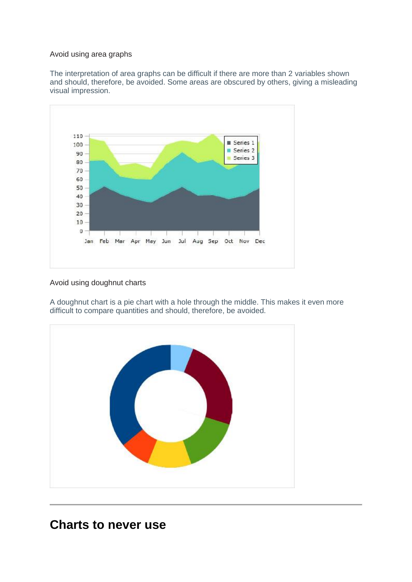### Avoid using area graphs

The interpretation of area graphs can be difficult if there are more than 2 variables shown and should, therefore, be avoided. Some areas are obscured by others, giving a misleading visual impression.



## Avoid using doughnut charts

A doughnut chart is a pie chart with a hole through the middle. This makes it even more difficult to compare quantities and should, therefore, be avoided.



## **Charts to never use**